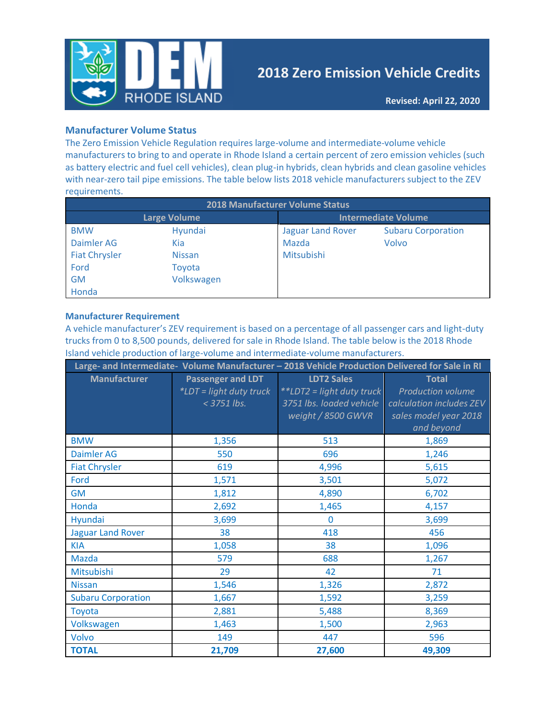

# **2018 Zero Emission Vehicle Credits**

### **Manufacturer Volume Status**

The Zero Emission Vehicle Regulation requires large-volume and intermediate-volume vehicle manufacturers to bring to and operate in Rhode Island a certain percent of zero emission vehicles (such as battery electric and fuel cell vehicles), clean plug-in hybrids, clean hybrids and clean gasoline vehicles with near-zero tail pipe emissions. The table below lists 2018 vehicle manufacturers subject to the ZEV requirements.

| <b>2018 Manufacturer Volume Status</b> |               |                            |                           |  |
|----------------------------------------|---------------|----------------------------|---------------------------|--|
| <b>Large Volume</b>                    |               | <b>Intermediate Volume</b> |                           |  |
| <b>BMW</b>                             | Hyundai       | <b>Jaguar Land Rover</b>   | <b>Subaru Corporation</b> |  |
| Daimler AG                             | Kia           | Mazda                      | Volvo                     |  |
| <b>Fiat Chrysler</b>                   | <b>Nissan</b> | Mitsubishi                 |                           |  |
| Ford                                   | Toyota        |                            |                           |  |
| <b>GM</b>                              | Volkswagen    |                            |                           |  |
| Honda                                  |               |                            |                           |  |

#### **Manufacturer Requirement**

A vehicle manufacturer's ZEV requirement is based on a percentage of all passenger cars and light-duty trucks from 0 to 8,500 pounds, delivered for sale in Rhode Island. The table below is the 2018 Rhode Island vehicle production of large-volume and intermediate-volume manufacturers.

|                           |                                                                    | Large- and Intermediate- Volume Manufacturer - 2018 Vehicle Production Delivered for Sale in RI  |                                                                                                             |
|---------------------------|--------------------------------------------------------------------|--------------------------------------------------------------------------------------------------|-------------------------------------------------------------------------------------------------------------|
| <b>Manufacturer</b>       | <b>Passenger and LDT</b><br>*LDT = light duty truck<br>< 3751 lbs. | <b>LDT2 Sales</b><br>**LDT2 = light duty truck<br>3751 lbs. loaded vehicle<br>weight / 8500 GWVR | <b>Total</b><br><b>Production volume</b><br>calculation includes ZEV<br>sales model year 2018<br>and beyond |
| <b>BMW</b>                | 1,356                                                              | 513                                                                                              | 1,869                                                                                                       |
| <b>Daimler AG</b>         | 550                                                                | 696                                                                                              | 1,246                                                                                                       |
| <b>Fiat Chrysler</b>      | 619                                                                | 4,996                                                                                            | 5,615                                                                                                       |
| Ford                      | 1,571                                                              | 3,501                                                                                            | 5,072                                                                                                       |
| <b>GM</b>                 | 1,812                                                              | 4,890                                                                                            | 6,702                                                                                                       |
| Honda                     | 2,692                                                              | 1,465                                                                                            | 4,157                                                                                                       |
| Hyundai                   | 3,699                                                              | $\mathbf{0}$                                                                                     | 3,699                                                                                                       |
| <b>Jaguar Land Rover</b>  | 38                                                                 | 418                                                                                              | 456                                                                                                         |
| <b>KIA</b>                | 1,058                                                              | 38                                                                                               | 1,096                                                                                                       |
| <b>Mazda</b>              | 579                                                                | 688                                                                                              | 1,267                                                                                                       |
| Mitsubishi                | 29                                                                 | 42                                                                                               | 71                                                                                                          |
| <b>Nissan</b>             | 1,546                                                              | 1,326                                                                                            | 2,872                                                                                                       |
| <b>Subaru Corporation</b> | 1,667                                                              | 1,592                                                                                            | 3,259                                                                                                       |
| Toyota                    | 2,881                                                              | 5,488                                                                                            | 8,369                                                                                                       |
| Volkswagen                | 1,463                                                              | 1,500                                                                                            | 2,963                                                                                                       |
| Volvo                     | 149                                                                | 447                                                                                              | 596                                                                                                         |
| <b>TOTAL</b>              | 21,709                                                             | 27,600                                                                                           | 49,309                                                                                                      |